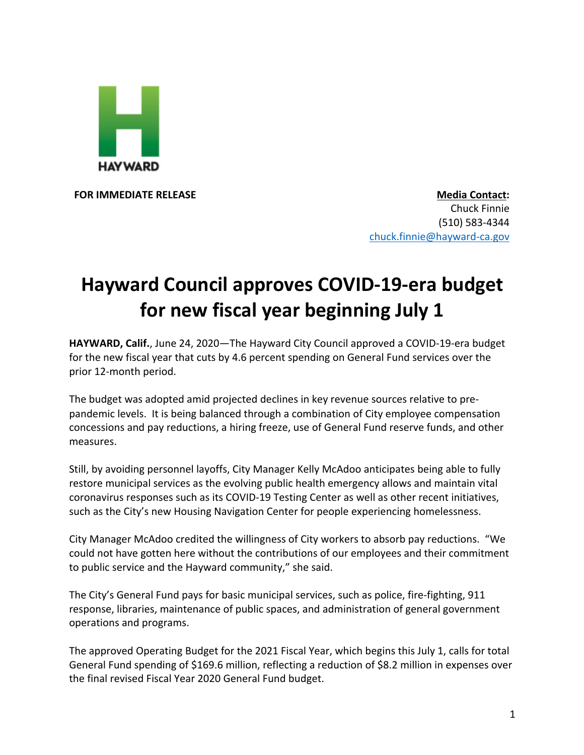

**FOR IMMEDIATE RELEASE Media Contact:** Chuck Finnie (510) 583-4344 chuck.finnie@hayward-ca.gov

## **Hayward Council approves COVID-19-era budget for new fiscal year beginning July 1**

**HAYWARD, Calif.**, June 24, 2020—The Hayward City Council approved a COVID-19-era budget for the new fiscal year that cuts by 4.6 percent spending on General Fund services over the prior 12-month period.

The budget was adopted amid projected declines in key revenue sources relative to prepandemic levels. It is being balanced through a combination of City employee compensation concessions and pay reductions, a hiring freeze, use of General Fund reserve funds, and other measures.

Still, by avoiding personnel layoffs, City Manager Kelly McAdoo anticipates being able to fully restore municipal services as the evolving public health emergency allows and maintain vital coronavirus responses such as its COVID-19 Testing Center as well as other recent initiatives, such as the City's new Housing Navigation Center for people experiencing homelessness.

City Manager McAdoo credited the willingness of City workers to absorb pay reductions. "We could not have gotten here without the contributions of our employees and their commitment to public service and the Hayward community," she said.

The City's General Fund pays for basic municipal services, such as police, fire-fighting, 911 response, libraries, maintenance of public spaces, and administration of general government operations and programs.

The approved Operating Budget for the 2021 Fiscal Year, which begins this July 1, calls for total General Fund spending of \$169.6 million, reflecting a reduction of \$8.2 million in expenses over the final revised Fiscal Year 2020 General Fund budget.